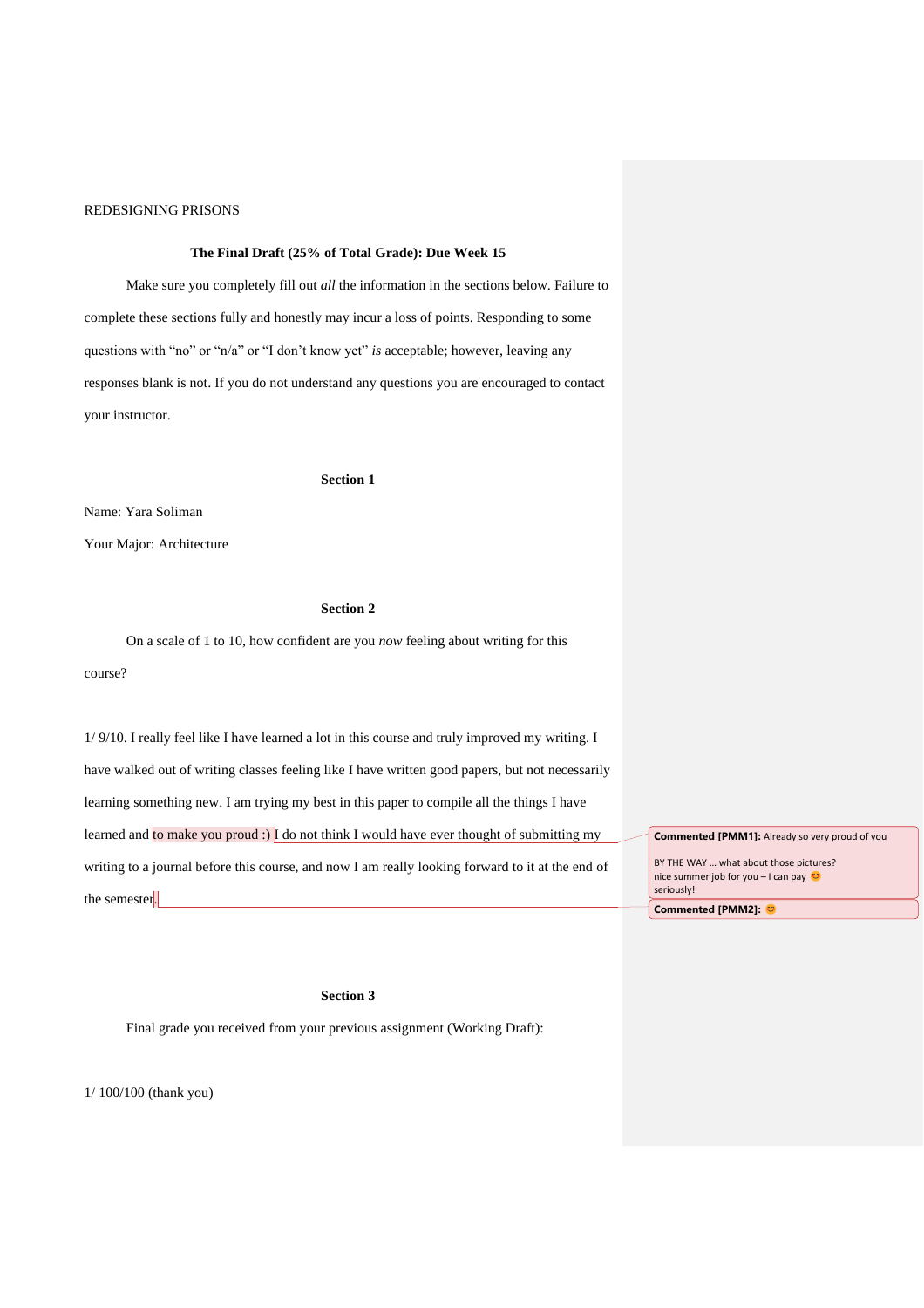## **The Final Draft (25% of Total Grade): Due Week 15**

Make sure you completely fill out *all* the information in the sections below. Failure to complete these sections fully and honestly may incur a loss of points. Responding to some questions with "no" or "n/a" or "I don't know yet" *is* acceptable; however, leaving any responses blank is not. If you do not understand any questions you are encouraged to contact your instructor.

#### **Section 1**

Name: Yara Soliman

Your Major: Architecture

# **Section 2**

On a scale of 1 to 10, how confident are you *now* feeling about writing for this course?

1/ 9/10. I really feel like I have learned a lot in this course and truly improved my writing. I have walked out of writing classes feeling like I have written good papers, but not necessarily learning something new. I am trying my best in this paper to compile all the things I have learned and to make you proud :) I do not think I would have ever thought of submitting my writing to a journal before this course, and now I am really looking forward to it at the end of the semester.

**Commented [PMM1]:** Already so very proud of you BY THE WAY … what about those pictures? nice summer job for you – I can pay seriously! **Commented [PMM2]:** 

# **Section 3**

Final grade you received from your previous assignment (Working Draft):

1/ 100/100 (thank you)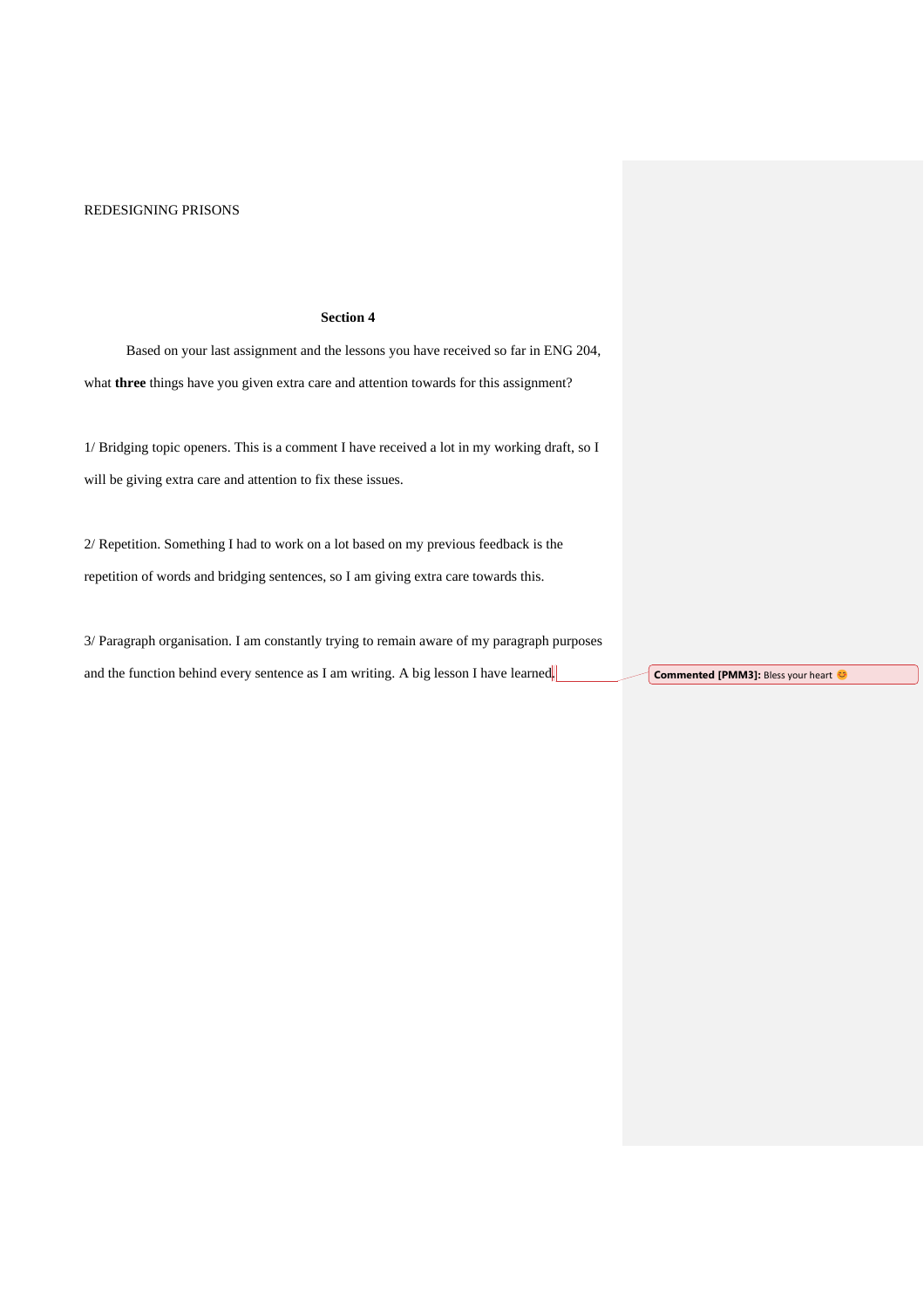# **Section 4**

Based on your last assignment and the lessons you have received so far in ENG 204, what **three** things have you given extra care and attention towards for this assignment?

1/ Bridging topic openers. This is a comment I have received a lot in my working draft, so I will be giving extra care and attention to fix these issues.

2/ Repetition. Something I had to work on a lot based on my previous feedback is the repetition of words and bridging sentences, so I am giving extra care towards this.

3/ Paragraph organisation. I am constantly trying to remain aware of my paragraph purposes and the function behind every sentence as I am writing. A big lesson I have learned. **Commented [PMM3]:** Bless your heart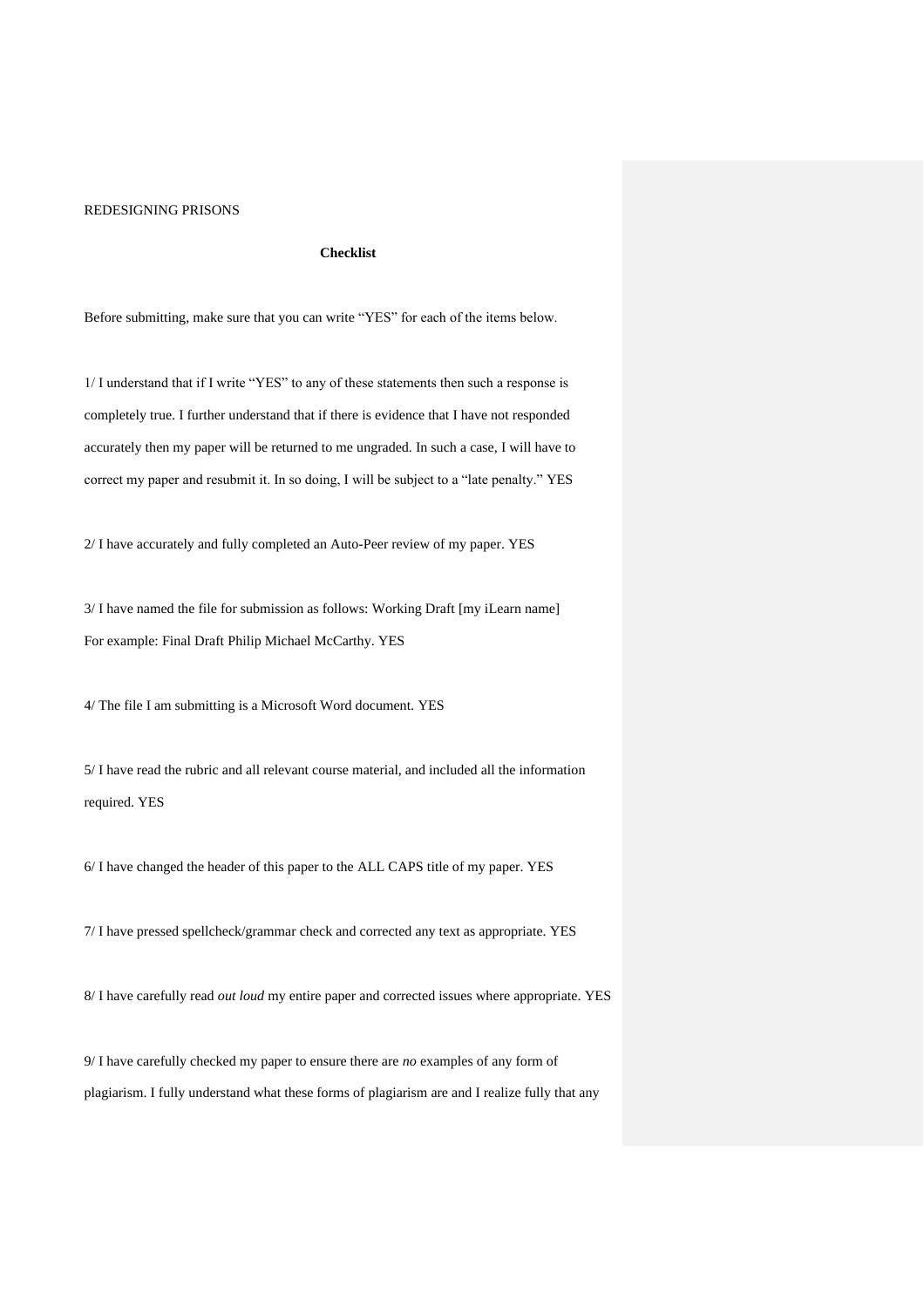#### **Checklist**

Before submitting, make sure that you can write "YES" for each of the items below.

1/ I understand that if I write "YES" to any of these statements then such a response is completely true. I further understand that if there is evidence that I have not responded accurately then my paper will be returned to me ungraded. In such a case, I will have to correct my paper and resubmit it. In so doing, I will be subject to a "late penalty." YES

2/ I have accurately and fully completed an Auto-Peer review of my paper. YES

3/ I have named the file for submission as follows: Working Draft [my iLearn name] For example: Final Draft Philip Michael McCarthy. YES

4/ The file I am submitting is a Microsoft Word document. YES

5/ I have read the rubric and all relevant course material, and included all the information required. YES

6/ I have changed the header of this paper to the ALL CAPS title of my paper. YES

7/ I have pressed spellcheck/grammar check and corrected any text as appropriate. YES

8/ I have carefully read *out loud* my entire paper and corrected issues where appropriate. YES

9/ I have carefully checked my paper to ensure there are *no* examples of any form of plagiarism. I fully understand what these forms of plagiarism are and I realize fully that any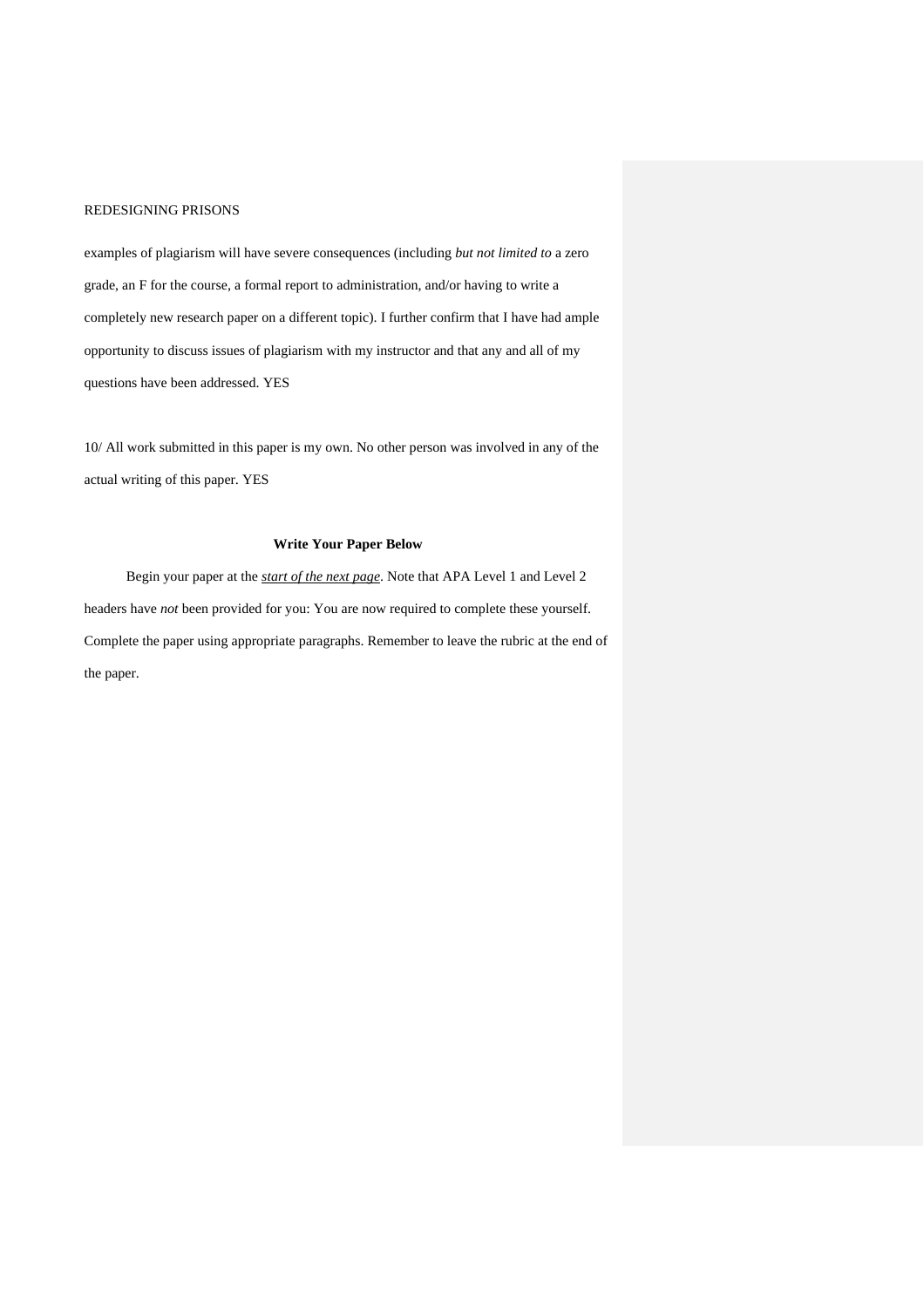examples of plagiarism will have severe consequences (including *but not limited to* a zero grade, an F for the course, a formal report to administration, and/or having to write a completely new research paper on a different topic). I further confirm that I have had ample opportunity to discuss issues of plagiarism with my instructor and that any and all of my questions have been addressed. YES

10/ All work submitted in this paper is my own. No other person was involved in any of the actual writing of this paper. YES

#### **Write Your Paper Below**

Begin your paper at the *start of the next page*. Note that APA Level 1 and Level 2 headers have *not* been provided for you: You are now required to complete these yourself. Complete the paper using appropriate paragraphs. Remember to leave the rubric at the end of the paper.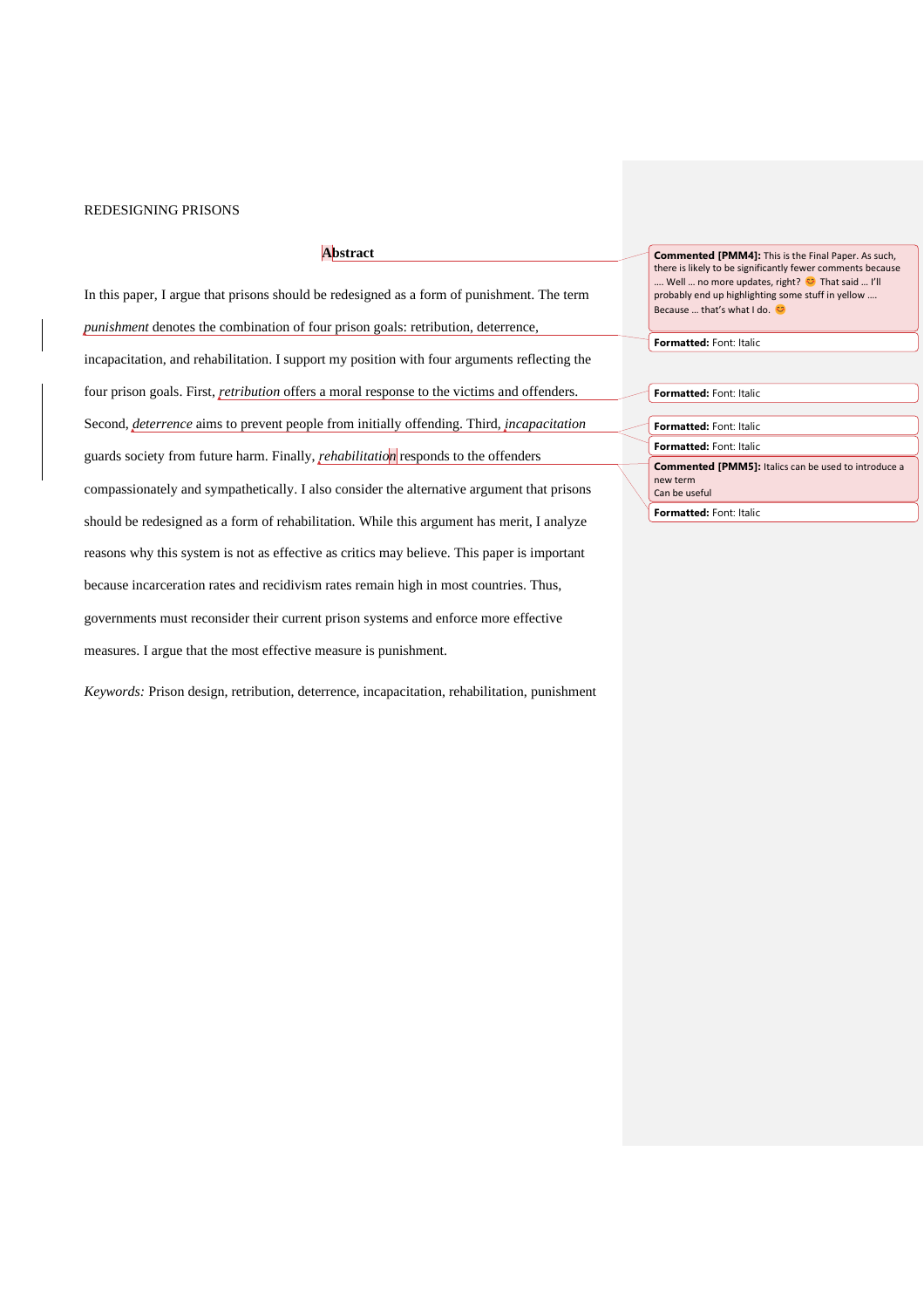### **Abstract**

In this paper, I argue that prisons should be redesigned as a form of punishment. The term *punishment* denotes the combination of four prison goals: retribution, deterrence, incapacitation, and rehabilitation. I support my position with four arguments reflecting the four prison goals. First, *retribution* offers a moral response to the victims and offenders. Second, *deterrence* aims to prevent people from initially offending. Third, *incapacitation* guards society from future harm. Finally, *rehabilitation* responds to the offenders compassionately and sympathetically. I also consider the alternative argument that prisons should be redesigned as a form of rehabilitation. While this argument has merit, I analyze reasons why this system is not as effective as critics may believe. This paper is important because incarceration rates and recidivism rates remain high in most countries. Thus, governments must reconsider their current prison systems and enforce more effective measures. I argue that the most effective measure is punishment.

*Keywords:* Prison design, retribution, deterrence, incapacitation, rehabilitation, punishment

**Commented [PMM4]:** This is the Final Paper. As such, there is likely to be significantly fewer comments because … Well ... no more updates, right? <sup>●</sup> That said ... I'll probably end up highlighting some stuff in yellow …. Because ... that's what I do.

**Formatted:** Font: Italic

| Formatted: Font: Italic                                                                  |
|------------------------------------------------------------------------------------------|
|                                                                                          |
| Formatted: Font: Italic                                                                  |
| Formatted: Font: Italic                                                                  |
| <b>Commented [PMM5]:</b> Italics can be used to introduce a<br>new term<br>Can be useful |
|                                                                                          |

**Formatted:** Font: Italic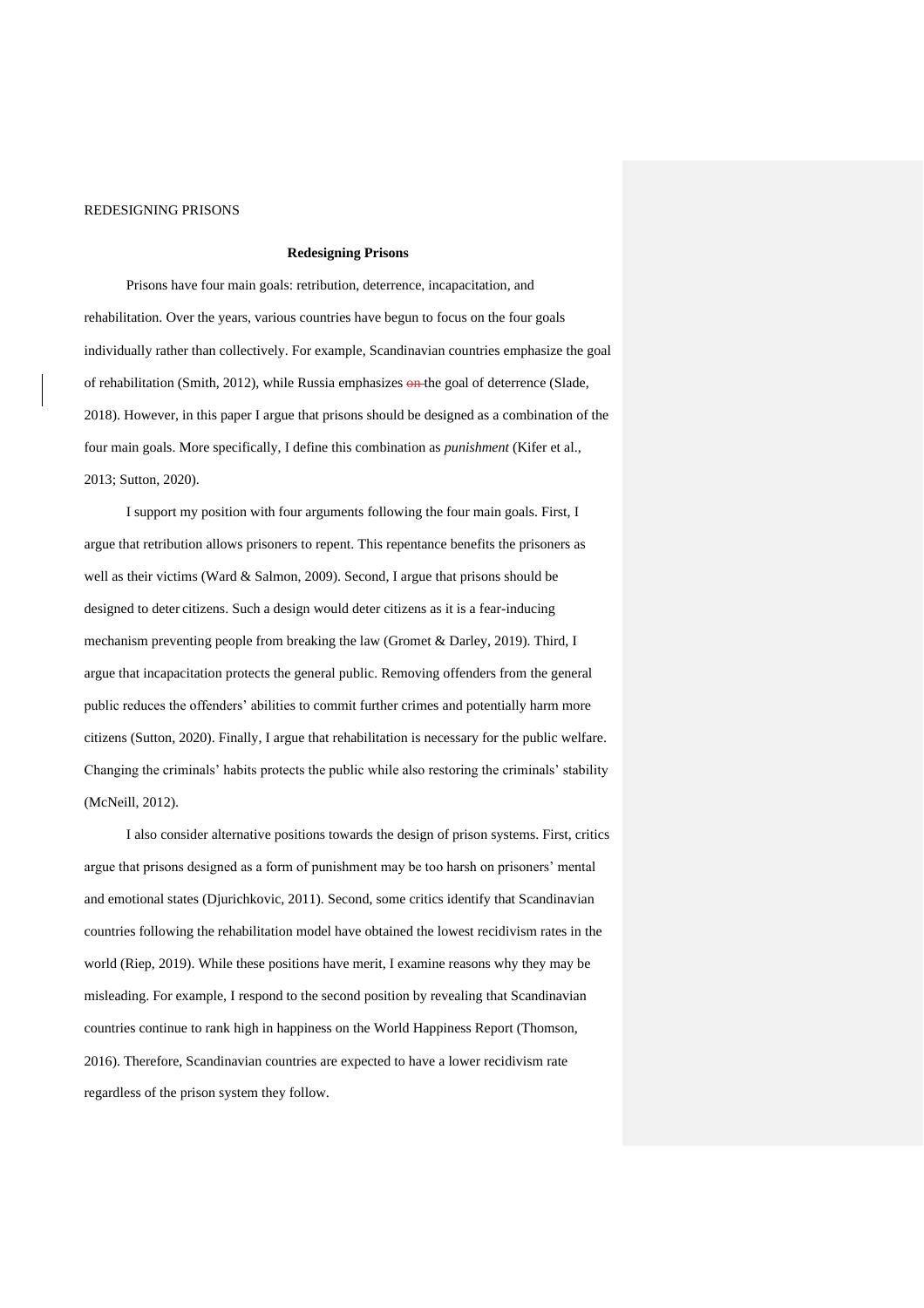#### **Redesigning Prisons**

Prisons have four main goals: retribution, deterrence, incapacitation, and rehabilitation. Over the years, various countries have begun to focus on the four goals individually rather than collectively. For example, Scandinavian countries emphasize the goal of rehabilitation (Smith, 2012), while Russia emphasizes on the goal of deterrence (Slade, 2018). However, in this paper I argue that prisons should be designed as a combination of the four main goals. More specifically, I define this combination as *punishment* (Kifer et al., 2013; Sutton, 2020).

I support my position with four arguments following the four main goals. First, I argue that retribution allows prisoners to repent. This repentance benefits the prisoners as well as their victims (Ward & Salmon, 2009). Second, I argue that prisons should be designed to deter citizens. Such a design would deter citizens as it is a fear-inducing mechanism preventing people from breaking the law (Gromet & Darley, 2019). Third, I argue that incapacitation protects the general public. Removing offenders from the general public reduces the offenders' abilities to commit further crimes and potentially harm more citizens (Sutton, 2020). Finally, I argue that rehabilitation is necessary for the public welfare. Changing the criminals' habits protects the public while also restoring the criminals' stability (McNeill, 2012).

I also consider alternative positions towards the design of prison systems. First, critics argue that prisons designed as a form of punishment may be too harsh on prisoners' mental and emotional states (Djurichkovic, 2011). Second, some critics identify that Scandinavian countries following the rehabilitation model have obtained the lowest recidivism rates in the world (Riep, 2019). While these positions have merit, I examine reasons why they may be misleading. For example, I respond to the second position by revealing that Scandinavian countries continue to rank high in happiness on the World Happiness Report (Thomson, 2016). Therefore, Scandinavian countries are expected to have a lower recidivism rate regardless of the prison system they follow.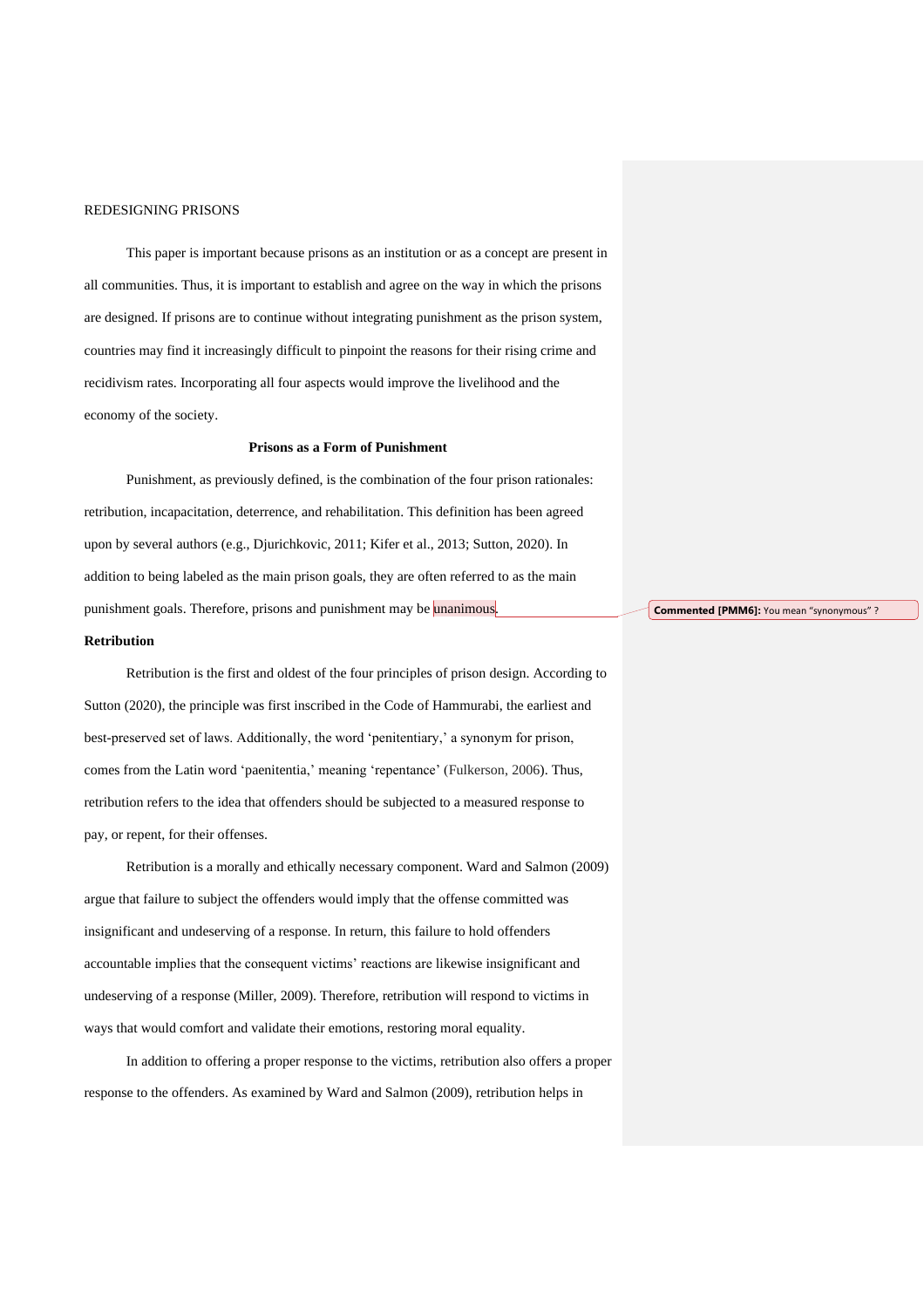This paper is important because prisons as an institution or as a concept are present in all communities. Thus, it is important to establish and agree on the way in which the prisons are designed. If prisons are to continue without integrating punishment as the prison system, countries may find it increasingly difficult to pinpoint the reasons for their rising crime and recidivism rates. Incorporating all four aspects would improve the livelihood and the economy of the society.

#### **Prisons as a Form of Punishment**

Punishment, as previously defined, is the combination of the four prison rationales: retribution, incapacitation, deterrence, and rehabilitation. This definition has been agreed upon by several authors (e.g., Djurichkovic, 2011; Kifer et al., 2013; Sutton, 2020). In addition to being labeled as the main prison goals, they are often referred to as the main punishment goals. Therefore, prisons and punishment may be unanimous.

#### **Retribution**

Retribution is the first and oldest of the four principles of prison design. According to Sutton (2020), the principle was first inscribed in the Code of Hammurabi, the earliest and best-preserved set of laws. Additionally, the word 'penitentiary,' a synonym for prison, comes from the Latin word 'paenitentia,' meaning 'repentance' (Fulkerson, 2006). Thus, retribution refers to the idea that offenders should be subjected to a measured response to pay, or repent, for their offenses.

Retribution is a morally and ethically necessary component. Ward and Salmon (2009) argue that failure to subject the offenders would imply that the offense committed was insignificant and undeserving of a response. In return, this failure to hold offenders accountable implies that the consequent victims' reactions are likewise insignificant and undeserving of a response (Miller, 2009). Therefore, retribution will respond to victims in ways that would comfort and validate their emotions, restoring moral equality.

In addition to offering a proper response to the victims, retribution also offers a proper response to the offenders. As examined by Ward and Salmon (2009), retribution helps in

**Commented [PMM6]:** You mean "synonymous" ?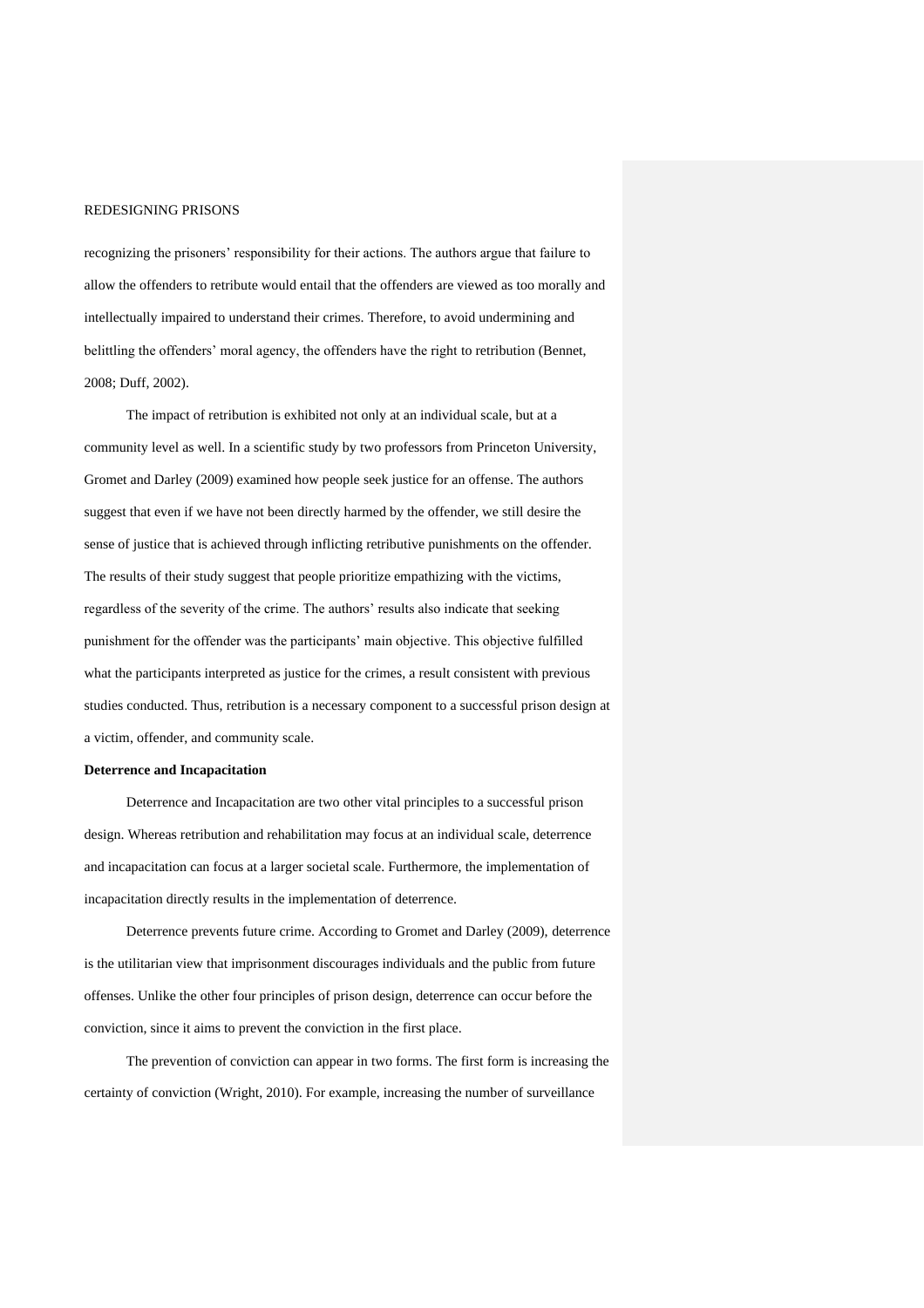recognizing the prisoners' responsibility for their actions. The authors argue that failure to allow the offenders to retribute would entail that the offenders are viewed as too morally and intellectually impaired to understand their crimes. Therefore, to avoid undermining and belittling the offenders' moral agency, the offenders have the right to retribution (Bennet, 2008; Duff, 2002).

The impact of retribution is exhibited not only at an individual scale, but at a community level as well. In a scientific study by two professors from Princeton University, Gromet and Darley (2009) examined how people seek justice for an offense. The authors suggest that even if we have not been directly harmed by the offender, we still desire the sense of justice that is achieved through inflicting retributive punishments on the offender. The results of their study suggest that people prioritize empathizing with the victims, regardless of the severity of the crime. The authors' results also indicate that seeking punishment for the offender was the participants' main objective. This objective fulfilled what the participants interpreted as justice for the crimes, a result consistent with previous studies conducted. Thus, retribution is a necessary component to a successful prison design at a victim, offender, and community scale.

#### **Deterrence and Incapacitation**

Deterrence and Incapacitation are two other vital principles to a successful prison design. Whereas retribution and rehabilitation may focus at an individual scale, deterrence and incapacitation can focus at a larger societal scale. Furthermore, the implementation of incapacitation directly results in the implementation of deterrence.

Deterrence prevents future crime. According to Gromet and Darley (2009), deterrence is the utilitarian view that imprisonment discourages individuals and the public from future offenses. Unlike the other four principles of prison design, deterrence can occur before the conviction, since it aims to prevent the conviction in the first place.

The prevention of conviction can appear in two forms. The first form is increasing the certainty of conviction (Wright, 2010). For example, increasing the number of surveillance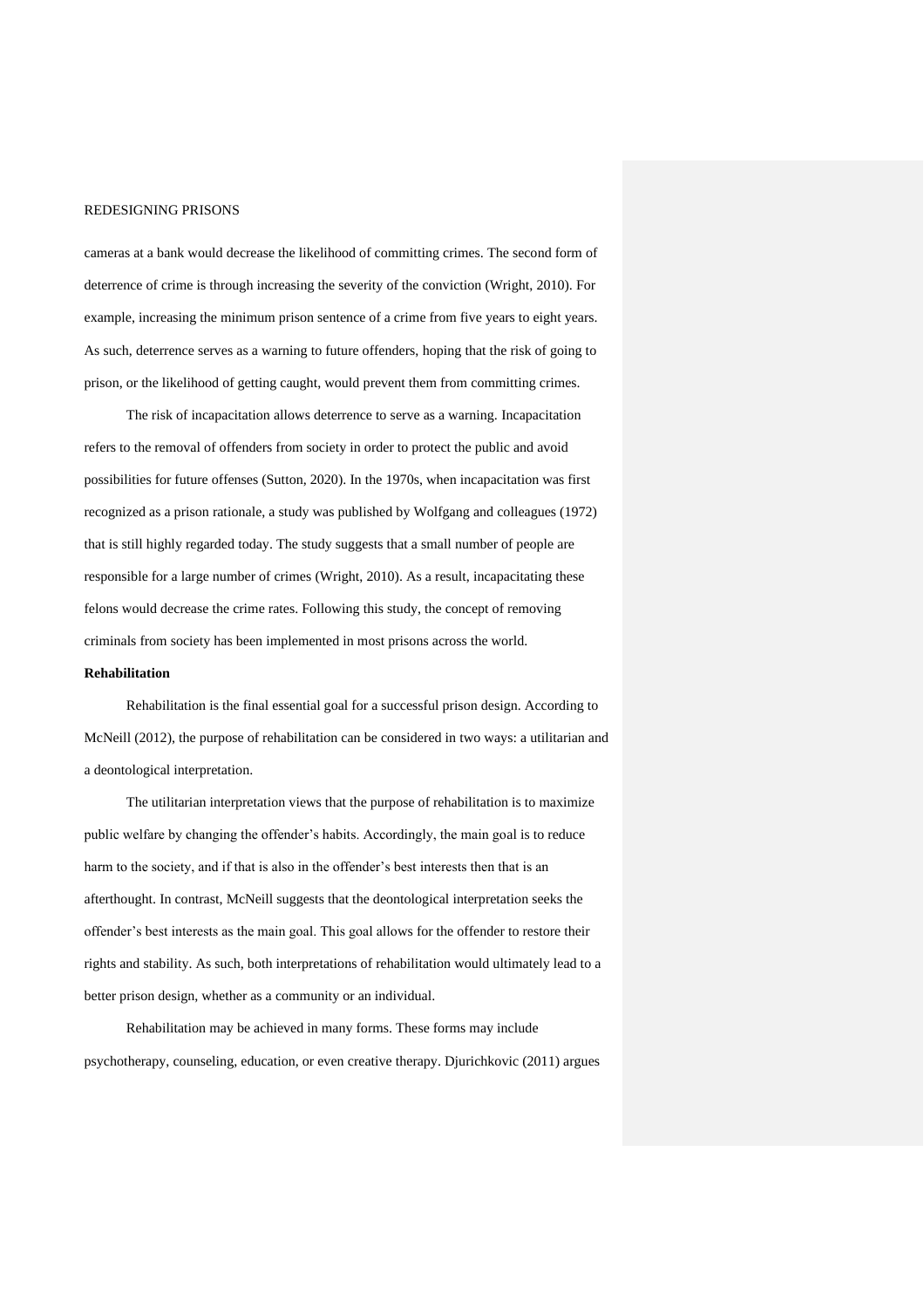cameras at a bank would decrease the likelihood of committing crimes. The second form of deterrence of crime is through increasing the severity of the conviction (Wright, 2010). For example, increasing the minimum prison sentence of a crime from five years to eight years. As such, deterrence serves as a warning to future offenders, hoping that the risk of going to prison, or the likelihood of getting caught, would prevent them from committing crimes.

The risk of incapacitation allows deterrence to serve as a warning. Incapacitation refers to the removal of offenders from society in order to protect the public and avoid possibilities for future offenses (Sutton, 2020). In the 1970s, when incapacitation was first recognized as a prison rationale, a study was published by Wolfgang and colleagues (1972) that is still highly regarded today. The study suggests that a small number of people are responsible for a large number of crimes (Wright, 2010). As a result, incapacitating these felons would decrease the crime rates. Following this study, the concept of removing criminals from society has been implemented in most prisons across the world.

### **Rehabilitation**

Rehabilitation is the final essential goal for a successful prison design. According to McNeill (2012), the purpose of rehabilitation can be considered in two ways: a utilitarian and a deontological interpretation.

The utilitarian interpretation views that the purpose of rehabilitation is to maximize public welfare by changing the offender's habits. Accordingly, the main goal is to reduce harm to the society, and if that is also in the offender's best interests then that is an afterthought. In contrast, McNeill suggests that the deontological interpretation seeks the offender's best interests as the main goal. This goal allows for the offender to restore their rights and stability. As such, both interpretations of rehabilitation would ultimately lead to a better prison design, whether as a community or an individual.

Rehabilitation may be achieved in many forms. These forms may include psychotherapy, counseling, education, or even creative therapy. Djurichkovic (2011) argues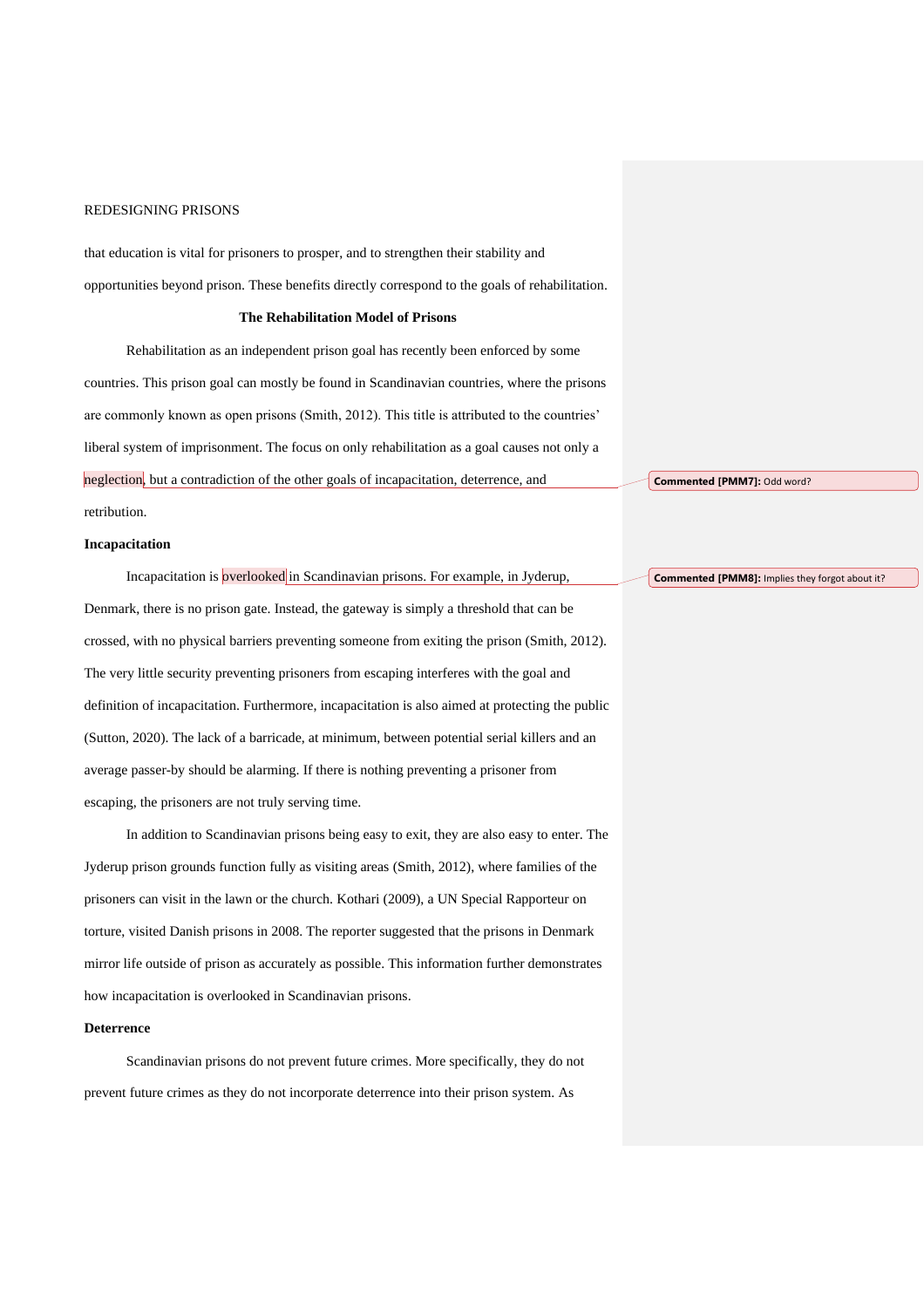that education is vital for prisoners to prosper, and to strengthen their stability and opportunities beyond prison. These benefits directly correspond to the goals of rehabilitation.

#### **The Rehabilitation Model of Prisons**

Rehabilitation as an independent prison goal has recently been enforced by some countries. This prison goal can mostly be found in Scandinavian countries, where the prisons are commonly known as open prisons (Smith, 2012). This title is attributed to the countries' liberal system of imprisonment. The focus on only rehabilitation as a goal causes not only a neglection, but a contradiction of the other goals of incapacitation, deterrence, and retribution.

#### **Incapacitation**

Incapacitation is overlooked in Scandinavian prisons. For example, in Jyderup, Denmark, there is no prison gate. Instead, the gateway is simply a threshold that can be crossed, with no physical barriers preventing someone from exiting the prison (Smith, 2012). The very little security preventing prisoners from escaping interferes with the goal and definition of incapacitation. Furthermore, incapacitation is also aimed at protecting the public (Sutton, 2020). The lack of a barricade, at minimum, between potential serial killers and an average passer-by should be alarming. If there is nothing preventing a prisoner from escaping, the prisoners are not truly serving time.

In addition to Scandinavian prisons being easy to exit, they are also easy to enter. The Jyderup prison grounds function fully as visiting areas (Smith, 2012), where families of the prisoners can visit in the lawn or the church. Kothari (2009), a UN Special Rapporteur on torture, visited Danish prisons in 2008. The reporter suggested that the prisons in Denmark mirror life outside of prison as accurately as possible. This information further demonstrates how incapacitation is overlooked in Scandinavian prisons.

#### **Deterrence**

Scandinavian prisons do not prevent future crimes. More specifically, they do not prevent future crimes as they do not incorporate deterrence into their prison system. As

**Commented [PMM7]:** Odd word?

**Commented [PMM8]:** Implies they forgot about it?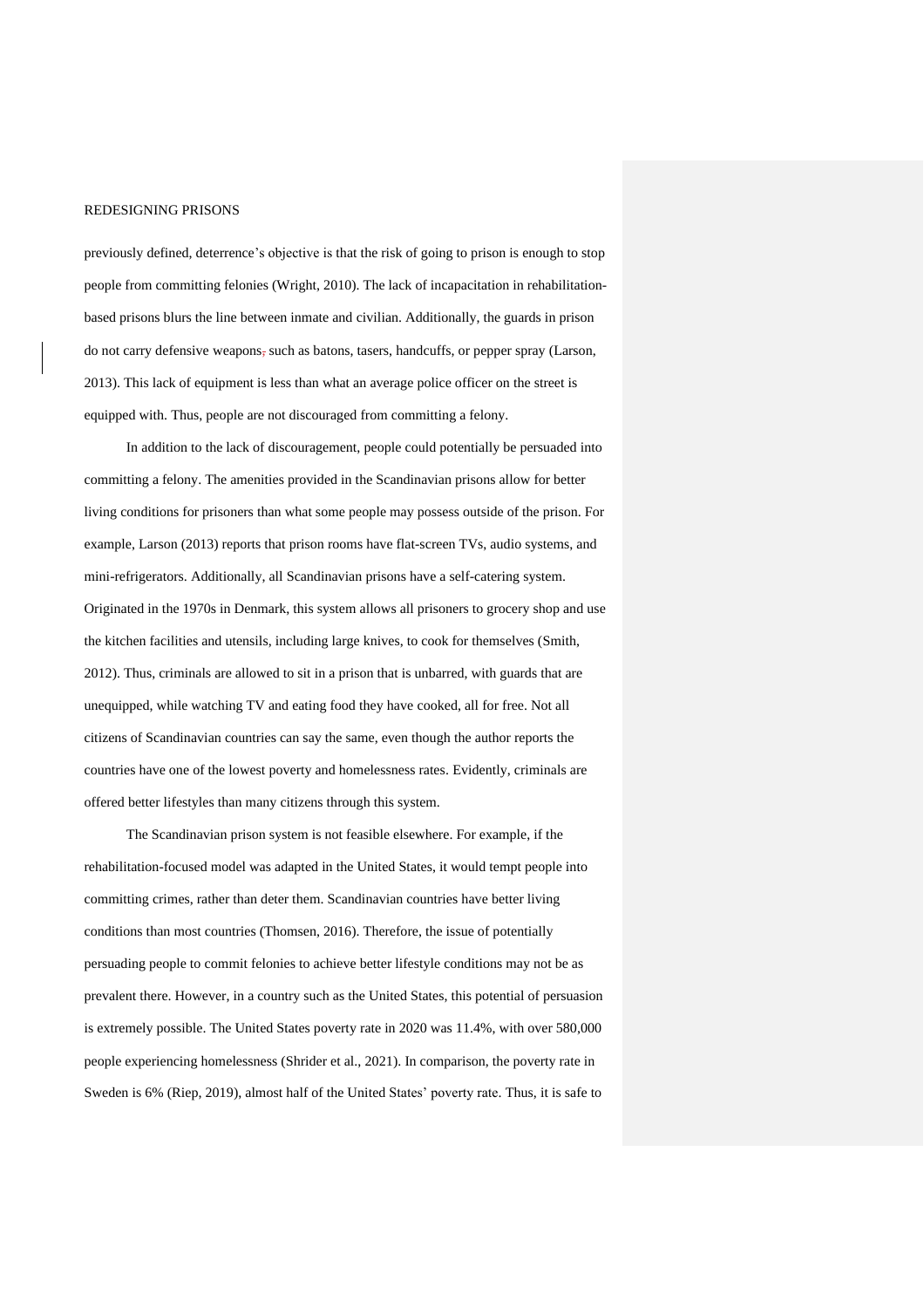previously defined, deterrence's objective is that the risk of going to prison is enough to stop people from committing felonies (Wright, 2010). The lack of incapacitation in rehabilitationbased prisons blurs the line between inmate and civilian. Additionally, the guards in prison do not carry defensive weapons, such as batons, tasers, handcuffs, or pepper spray (Larson, 2013). This lack of equipment is less than what an average police officer on the street is equipped with. Thus, people are not discouraged from committing a felony.

In addition to the lack of discouragement, people could potentially be persuaded into committing a felony. The amenities provided in the Scandinavian prisons allow for better living conditions for prisoners than what some people may possess outside of the prison. For example, Larson (2013) reports that prison rooms have flat-screen TVs, audio systems, and mini-refrigerators. Additionally, all Scandinavian prisons have a self-catering system. Originated in the 1970s in Denmark, this system allows all prisoners to grocery shop and use the kitchen facilities and utensils, including large knives, to cook for themselves (Smith, 2012). Thus, criminals are allowed to sit in a prison that is unbarred, with guards that are unequipped, while watching TV and eating food they have cooked, all for free. Not all citizens of Scandinavian countries can say the same, even though the author reports the countries have one of the lowest poverty and homelessness rates. Evidently, criminals are offered better lifestyles than many citizens through this system.

The Scandinavian prison system is not feasible elsewhere. For example, if the rehabilitation-focused model was adapted in the United States, it would tempt people into committing crimes, rather than deter them. Scandinavian countries have better living conditions than most countries (Thomsen, 2016). Therefore, the issue of potentially persuading people to commit felonies to achieve better lifestyle conditions may not be as prevalent there. However, in a country such as the United States, this potential of persuasion is extremely possible. The United States poverty rate in 2020 was 11.4%, with over 580,000 people experiencing homelessness (Shrider et al., 2021). In comparison, the poverty rate in Sweden is 6% (Riep, 2019), almost half of the United States' poverty rate. Thus, it is safe to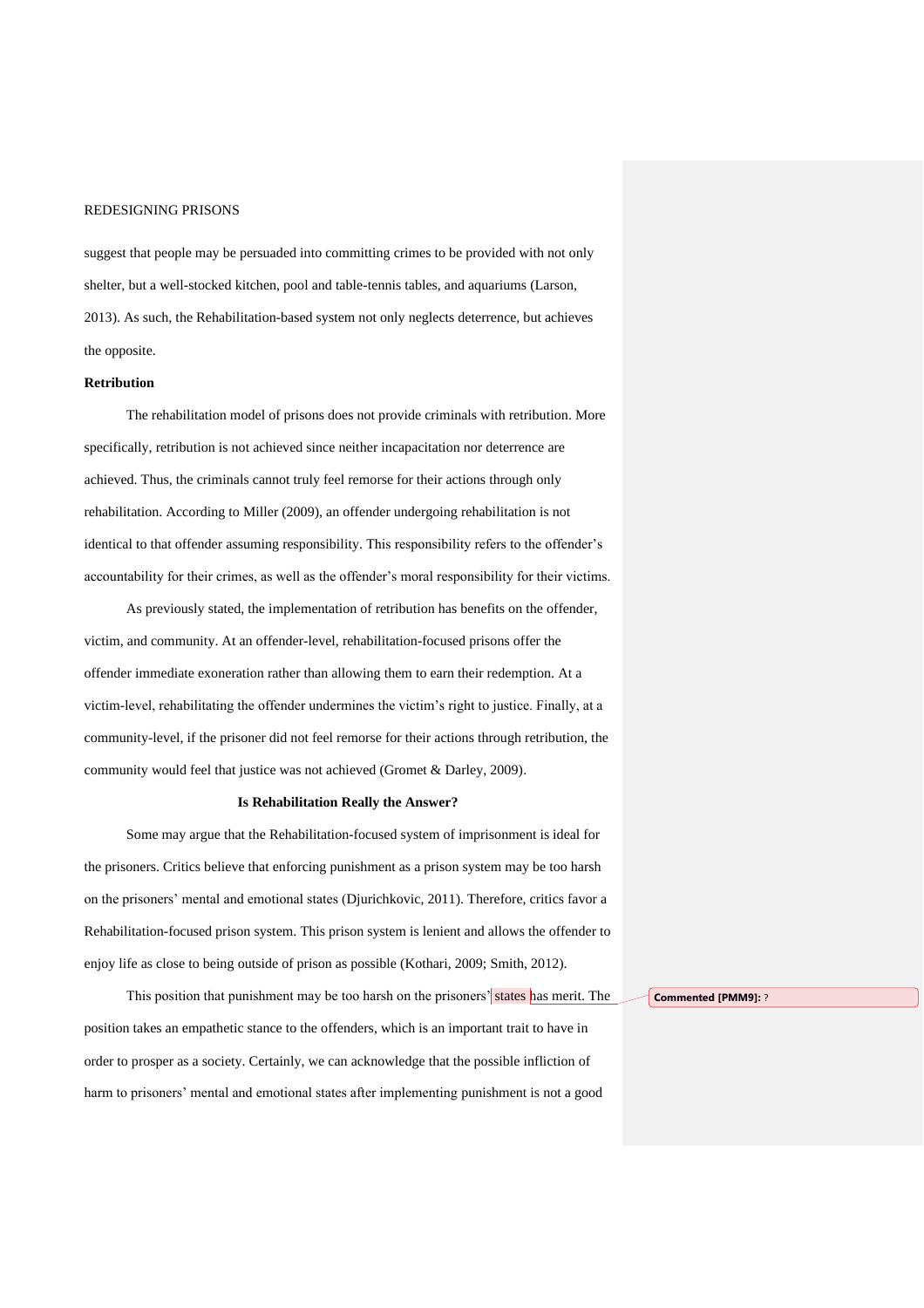suggest that people may be persuaded into committing crimes to be provided with not only shelter, but a well-stocked kitchen, pool and table-tennis tables, and aquariums (Larson, 2013). As such, the Rehabilitation-based system not only neglects deterrence, but achieves the opposite.

### **Retribution**

The rehabilitation model of prisons does not provide criminals with retribution. More specifically, retribution is not achieved since neither incapacitation nor deterrence are achieved. Thus, the criminals cannot truly feel remorse for their actions through only rehabilitation. According to Miller (2009), an offender undergoing rehabilitation is not identical to that offender assuming responsibility. This responsibility refers to the offender's accountability for their crimes, as well as the offender's moral responsibility for their victims.

As previously stated, the implementation of retribution has benefits on the offender, victim, and community. At an offender-level, rehabilitation-focused prisons offer the offender immediate exoneration rather than allowing them to earn their redemption. At a victim-level, rehabilitating the offender undermines the victim's right to justice. Finally, at a community-level, if the prisoner did not feel remorse for their actions through retribution, the community would feel that justice was not achieved (Gromet & Darley, 2009).

#### **Is Rehabilitation Really the Answer?**

Some may argue that the Rehabilitation-focused system of imprisonment is ideal for the prisoners. Critics believe that enforcing punishment as a prison system may be too harsh on the prisoners' mental and emotional states (Djurichkovic, 2011). Therefore, critics favor a Rehabilitation-focused prison system. This prison system is lenient and allows the offender to enjoy life as close to being outside of prison as possible (Kothari, 2009; Smith, 2012).

This position that punishment may be too harsh on the prisoners' states has merit. The position takes an empathetic stance to the offenders, which is an important trait to have in order to prosper as a society. Certainly, we can acknowledge that the possible infliction of harm to prisoners' mental and emotional states after implementing punishment is not a good

**Commented [PMM9]:** ?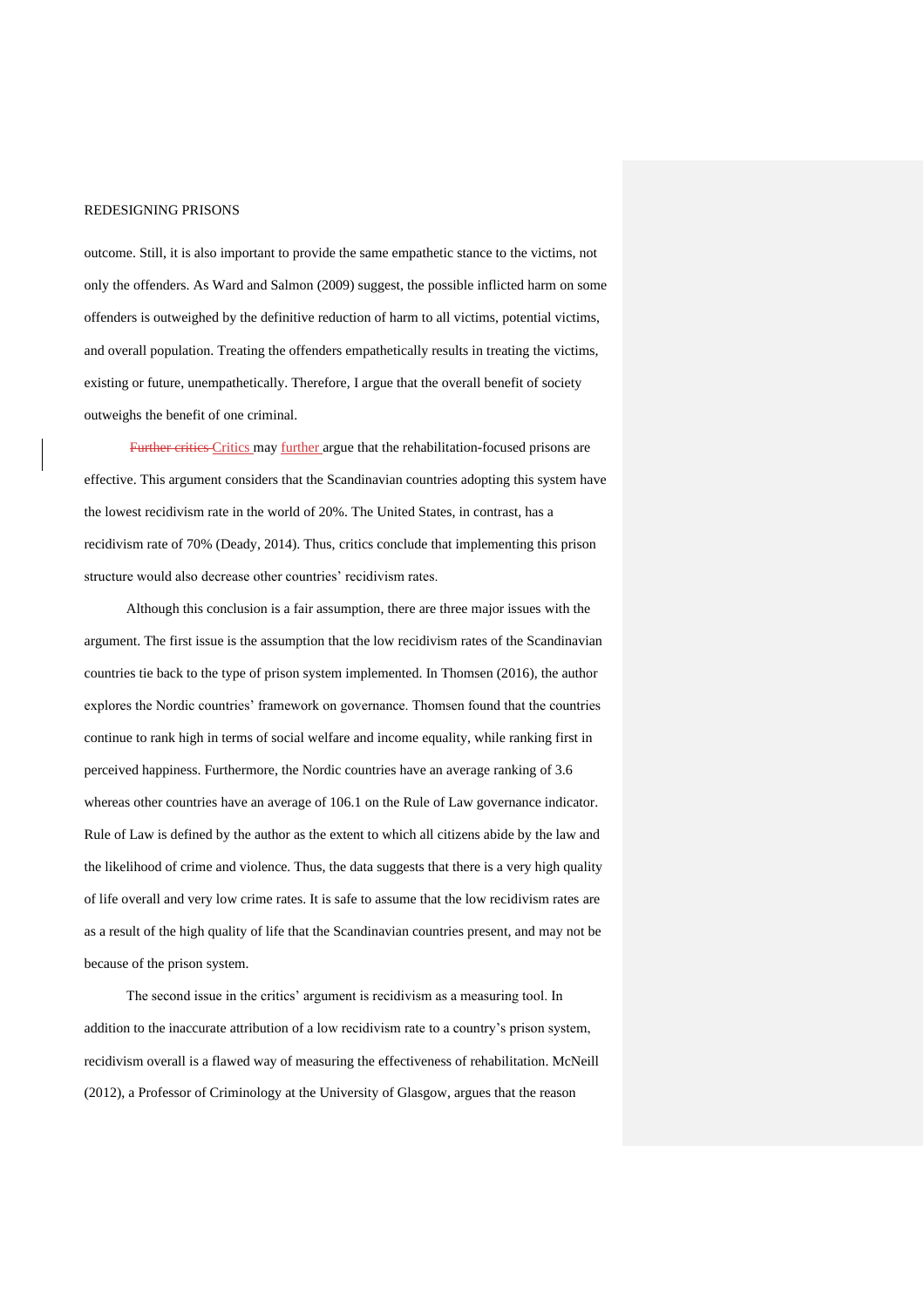outcome. Still, it is also important to provide the same empathetic stance to the victims, not only the offenders. As Ward and Salmon (2009) suggest, the possible inflicted harm on some offenders is outweighed by the definitive reduction of harm to all victims, potential victims, and overall population. Treating the offenders empathetically results in treating the victims, existing or future, unempathetically. Therefore, I argue that the overall benefit of society outweighs the benefit of one criminal.

Further critics Critics may further argue that the rehabilitation-focused prisons are effective. This argument considers that the Scandinavian countries adopting this system have the lowest recidivism rate in the world of 20%. The United States, in contrast, has a recidivism rate of 70% (Deady, 2014). Thus, critics conclude that implementing this prison structure would also decrease other countries' recidivism rates.

Although this conclusion is a fair assumption, there are three major issues with the argument. The first issue is the assumption that the low recidivism rates of the Scandinavian countries tie back to the type of prison system implemented. In Thomsen (2016), the author explores the Nordic countries' framework on governance. Thomsen found that the countries continue to rank high in terms of social welfare and income equality, while ranking first in perceived happiness. Furthermore, the Nordic countries have an average ranking of 3.6 whereas other countries have an average of 106.1 on the Rule of Law governance indicator. Rule of Law is defined by the author as the extent to which all citizens abide by the law and the likelihood of crime and violence. Thus, the data suggests that there is a very high quality of life overall and very low crime rates. It is safe to assume that the low recidivism rates are as a result of the high quality of life that the Scandinavian countries present, and may not be because of the prison system.

The second issue in the critics' argument is recidivism as a measuring tool. In addition to the inaccurate attribution of a low recidivism rate to a country's prison system, recidivism overall is a flawed way of measuring the effectiveness of rehabilitation. McNeill (2012), a Professor of Criminology at the University of Glasgow, argues that the reason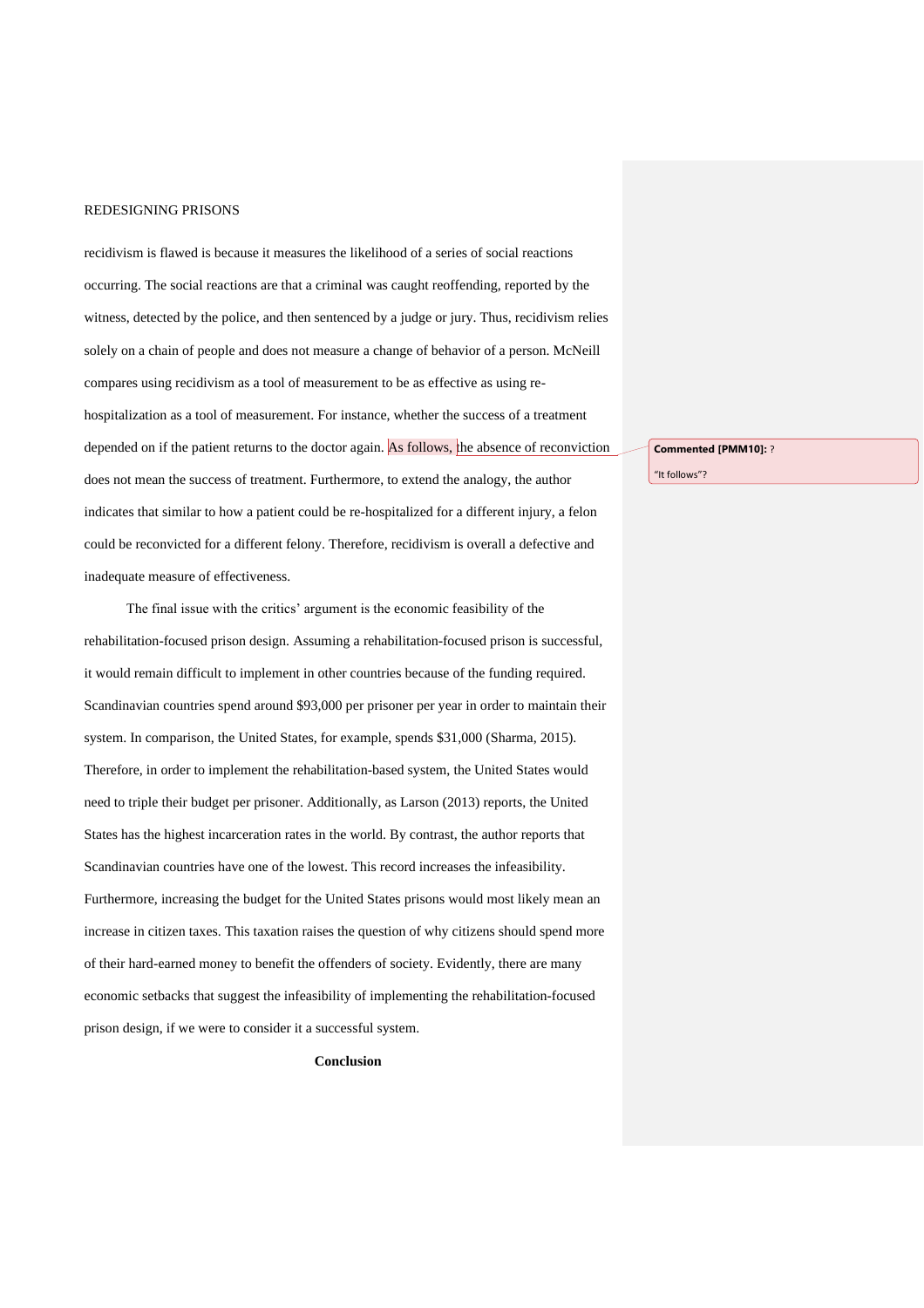recidivism is flawed is because it measures the likelihood of a series of social reactions occurring. The social reactions are that a criminal was caught reoffending, reported by the witness, detected by the police, and then sentenced by a judge or jury. Thus, recidivism relies solely on a chain of people and does not measure a change of behavior of a person. McNeill compares using recidivism as a tool of measurement to be as effective as using rehospitalization as a tool of measurement. For instance, whether the success of a treatment depended on if the patient returns to the doctor again. As follows, the absence of reconviction does not mean the success of treatment. Furthermore, to extend the analogy, the author indicates that similar to how a patient could be re-hospitalized for a different injury, a felon could be reconvicted for a different felony. Therefore, recidivism is overall a defective and inadequate measure of effectiveness.

The final issue with the critics' argument is the economic feasibility of the rehabilitation-focused prison design. Assuming a rehabilitation-focused prison is successful, it would remain difficult to implement in other countries because of the funding required. Scandinavian countries spend around \$93,000 per prisoner per year in order to maintain their system. In comparison, the United States, for example, spends \$31,000 (Sharma, 2015). Therefore, in order to implement the rehabilitation-based system, the United States would need to triple their budget per prisoner. Additionally, as Larson (2013) reports, the United States has the highest incarceration rates in the world. By contrast, the author reports that Scandinavian countries have one of the lowest. This record increases the infeasibility. Furthermore, increasing the budget for the United States prisons would most likely mean an increase in citizen taxes. This taxation raises the question of why citizens should spend more of their hard-earned money to benefit the offenders of society. Evidently, there are many economic setbacks that suggest the infeasibility of implementing the rehabilitation-focused prison design, if we were to consider it a successful system.

**Conclusion**

**Commented [PMM10]:** ?

"It follows"?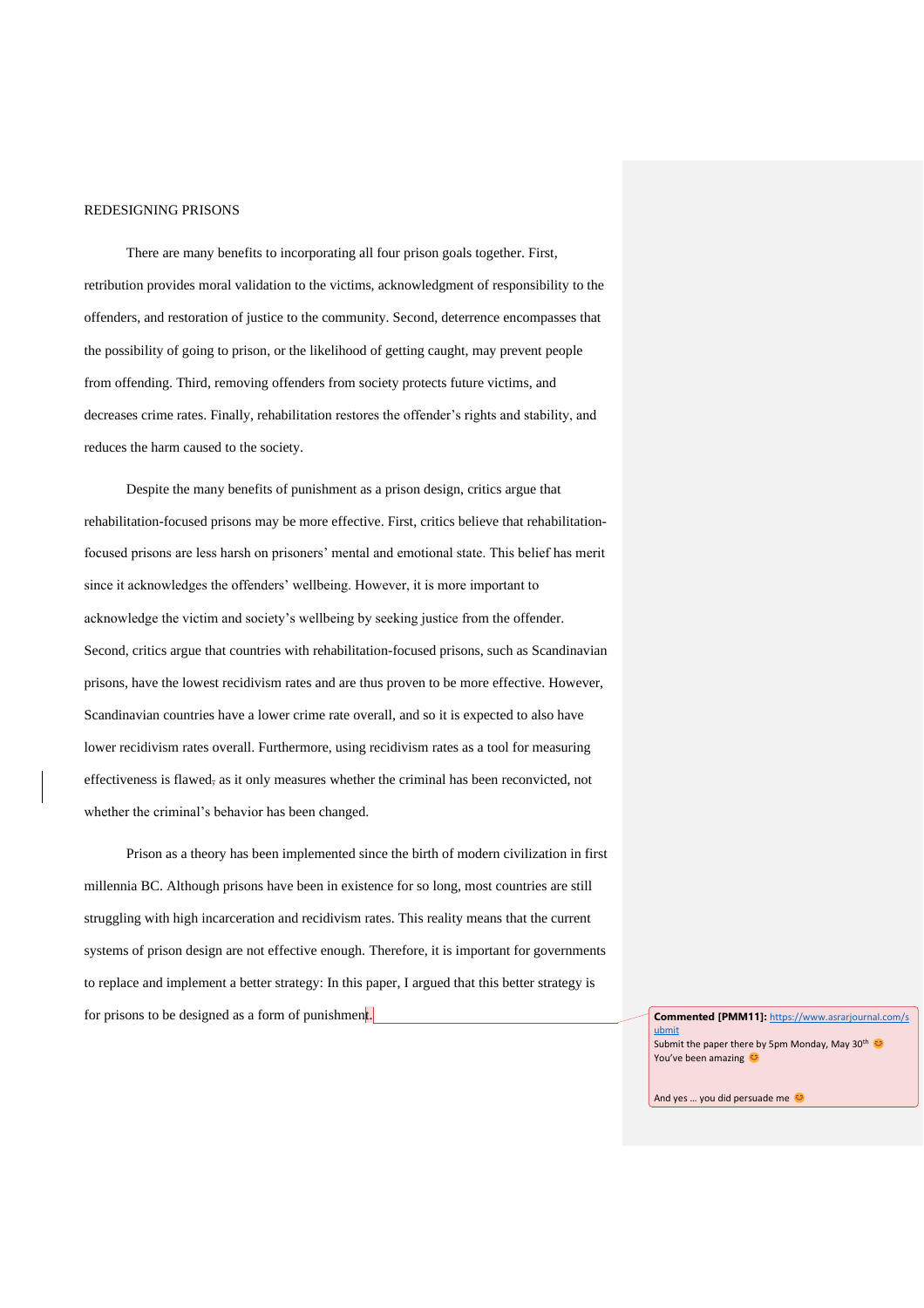There are many benefits to incorporating all four prison goals together. First, retribution provides moral validation to the victims, acknowledgment of responsibility to the offenders, and restoration of justice to the community. Second, deterrence encompasses that the possibility of going to prison, or the likelihood of getting caught, may prevent people from offending. Third, removing offenders from society protects future victims, and decreases crime rates. Finally, rehabilitation restores the offender's rights and stability, and reduces the harm caused to the society.

Despite the many benefits of punishment as a prison design, critics argue that rehabilitation-focused prisons may be more effective. First, critics believe that rehabilitationfocused prisons are less harsh on prisoners' mental and emotional state. This belief has merit since it acknowledges the offenders' wellbeing. However, it is more important to acknowledge the victim and society's wellbeing by seeking justice from the offender. Second, critics argue that countries with rehabilitation-focused prisons, such as Scandinavian prisons, have the lowest recidivism rates and are thus proven to be more effective. However, Scandinavian countries have a lower crime rate overall, and so it is expected to also have lower recidivism rates overall. Furthermore, using recidivism rates as a tool for measuring effectiveness is flawed, as it only measures whether the criminal has been reconvicted, not whether the criminal's behavior has been changed.

Prison as a theory has been implemented since the birth of modern civilization in first millennia BC. Although prisons have been in existence for so long, most countries are still struggling with high incarceration and recidivism rates. This reality means that the current systems of prison design are not effective enough. Therefore, it is important for governments to replace and implement a better strategy: In this paper, I argued that this better strategy is for prisons to be designed as a form of punishment. **Commented [PMM11]:** [https://www.asrarjournal.com/s](https://www.asrarjournal.com/submit)

[ubmit](https://www.asrarjournal.com/submit) Submit the paper there by 5pm Monday, May 30<sup>th</sup> You've been amazing

And yes ... you did persuade me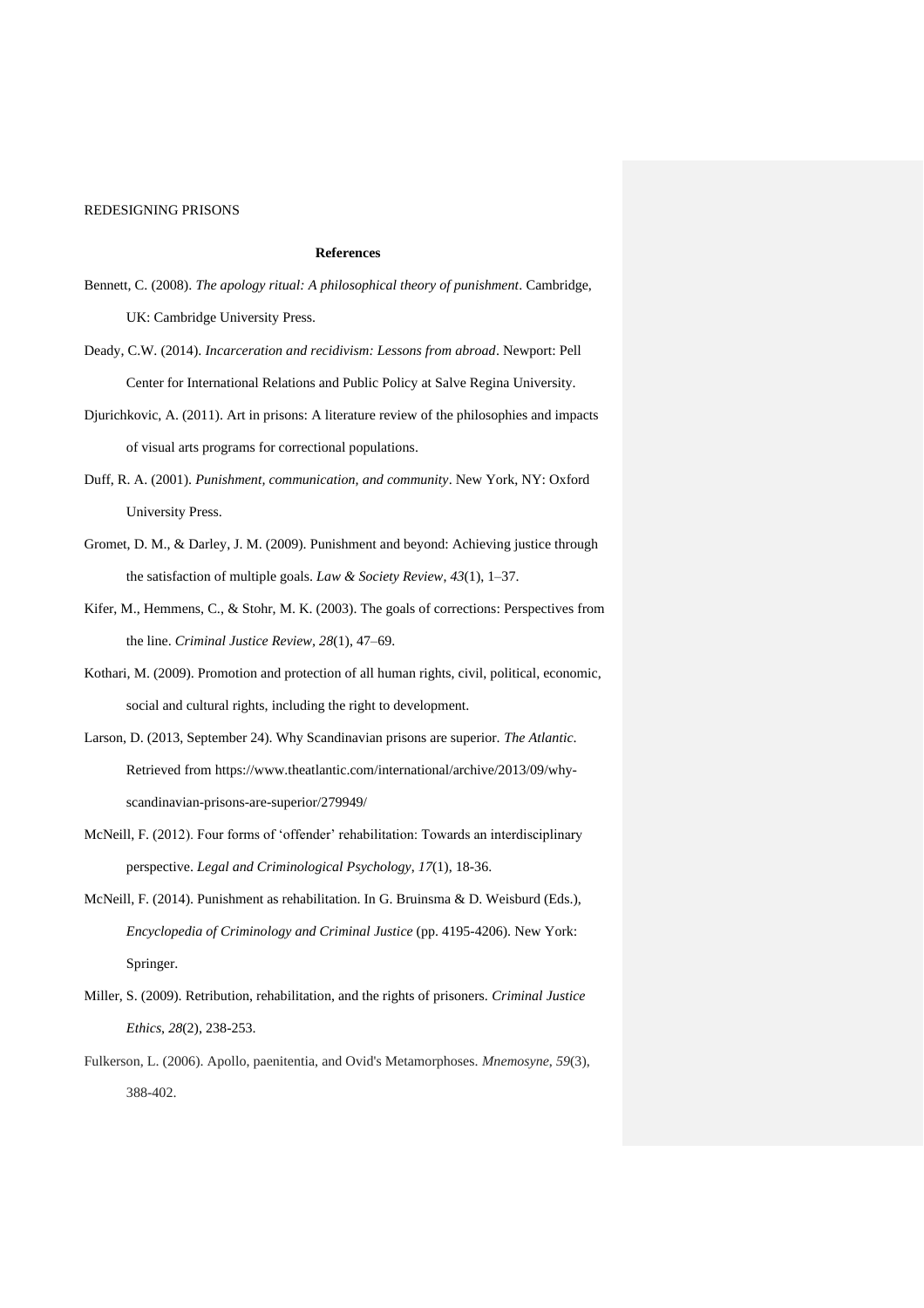### **References**

- Bennett, C. (2008). *The apology ritual: A philosophical theory of punishment*. Cambridge, UK: Cambridge University Press.
- Deady, C.W. (2014). *Incarceration and recidivism: Lessons from abroad*. Newport: Pell Center for International Relations and Public Policy at Salve Regina University.
- Djurichkovic, A. (2011). Art in prisons: A literature review of the philosophies and impacts of visual arts programs for correctional populations.
- Duff, R. A. (2001). *Punishment, communication, and community*. New York, NY: Oxford University Press.
- Gromet, D. M., & Darley, J. M. (2009). Punishment and beyond: Achieving justice through the satisfaction of multiple goals. *Law & Society Review*, *43*(1), 1–37.
- Kifer, M., Hemmens, C., & Stohr, M. K. (2003). The goals of corrections: Perspectives from the line. *Criminal Justice Review, 28*(1), 47–69.
- Kothari, M. (2009). Promotion and protection of all human rights, civil, political, economic, social and cultural rights, including the right to development.
- Larson, D. (2013, September 24). Why Scandinavian prisons are superior. *The Atlantic*. Retrieved from https://www.theatlantic.com/international/archive/2013/09/whyscandinavian-prisons-are-superior/279949/
- McNeill, F. (2012). Four forms of 'offender' rehabilitation: Towards an interdisciplinary perspective. *Legal and Criminological Psychology*, *17*(1), 18-36.
- McNeill, F. (2014). Punishment as rehabilitation. In G. Bruinsma & D. Weisburd (Eds.), *Encyclopedia of Criminology and Criminal Justice* (pp. 4195-4206). New York: Springer.
- Miller, S. (2009). Retribution, rehabilitation, and the rights of prisoners. *Criminal Justice Ethics*, *28*(2), 238-253.
- Fulkerson, L. (2006). Apollo, paenitentia, and Ovid's Metamorphoses. *Mnemosyne*, *59*(3), 388-402.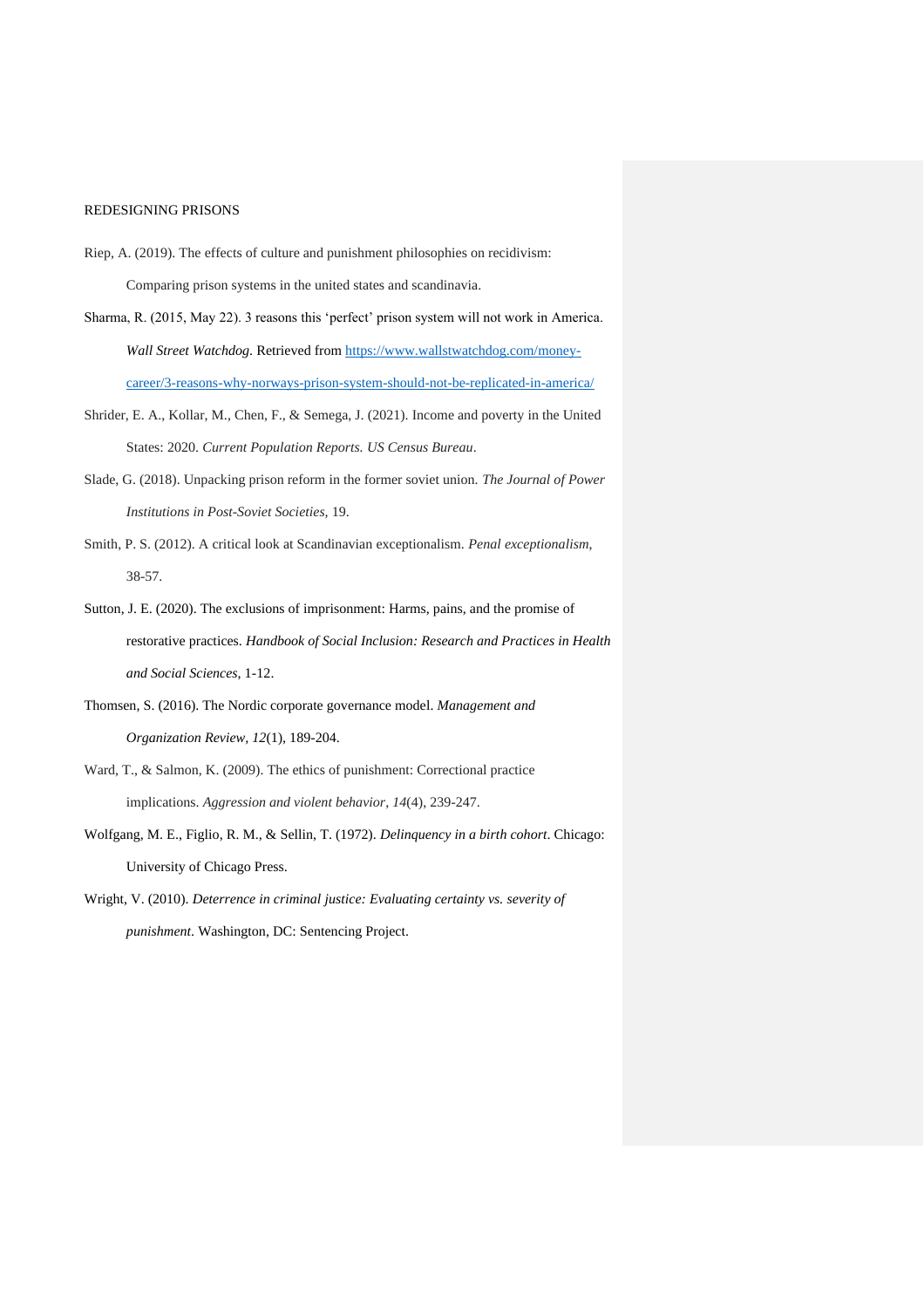- Riep, A. (2019). The effects of culture and punishment philosophies on recidivism: Comparing prison systems in the united states and scandinavia.
- Sharma, R. (2015, May 22). 3 reasons this 'perfect' prison system will not work in America. *Wall Street Watchdog*. Retrieved from [https://www.wallstwatchdog.com/money](https://www.wallstwatchdog.com/money-career/3-reasons-why-norways-prison-system-should-not-be-replicated-in-america/)[career/3-reasons-why-norways-prison-system-should-not-be-replicated-in-america/](https://www.wallstwatchdog.com/money-career/3-reasons-why-norways-prison-system-should-not-be-replicated-in-america/)
- Shrider, E. A., Kollar, M., Chen, F., & Semega, J. (2021). Income and poverty in the United States: 2020. *Current Population Reports. US Census Bureau*.
- Slade, G. (2018). Unpacking prison reform in the former soviet union. *The Journal of Power Institutions in Post-Soviet Societies,* 19.
- Smith, P. S. (2012). A critical look at Scandinavian exceptionalism. *Penal exceptionalism*, 38-57.
- Sutton, J. E. (2020). The exclusions of imprisonment: Harms, pains, and the promise of restorative practices. *Handbook of Social Inclusion: Research and Practices in Health and Social Sciences*, 1-12.
- Thomsen, S. (2016). The Nordic corporate governance model. *Management and Organization Review, 12*(1), 189-204.
- Ward, T., & Salmon, K. (2009). The ethics of punishment: Correctional practice implications. *Aggression and violent behavior*, *14*(4), 239-247.
- Wolfgang, M. E., Figlio, R. M., & Sellin, T. (1972). *Delinquency in a birth cohort*. Chicago: University of Chicago Press.
- Wright, V. (2010). *Deterrence in criminal justice: Evaluating certainty vs. severity of punishment*. Washington, DC: Sentencing Project.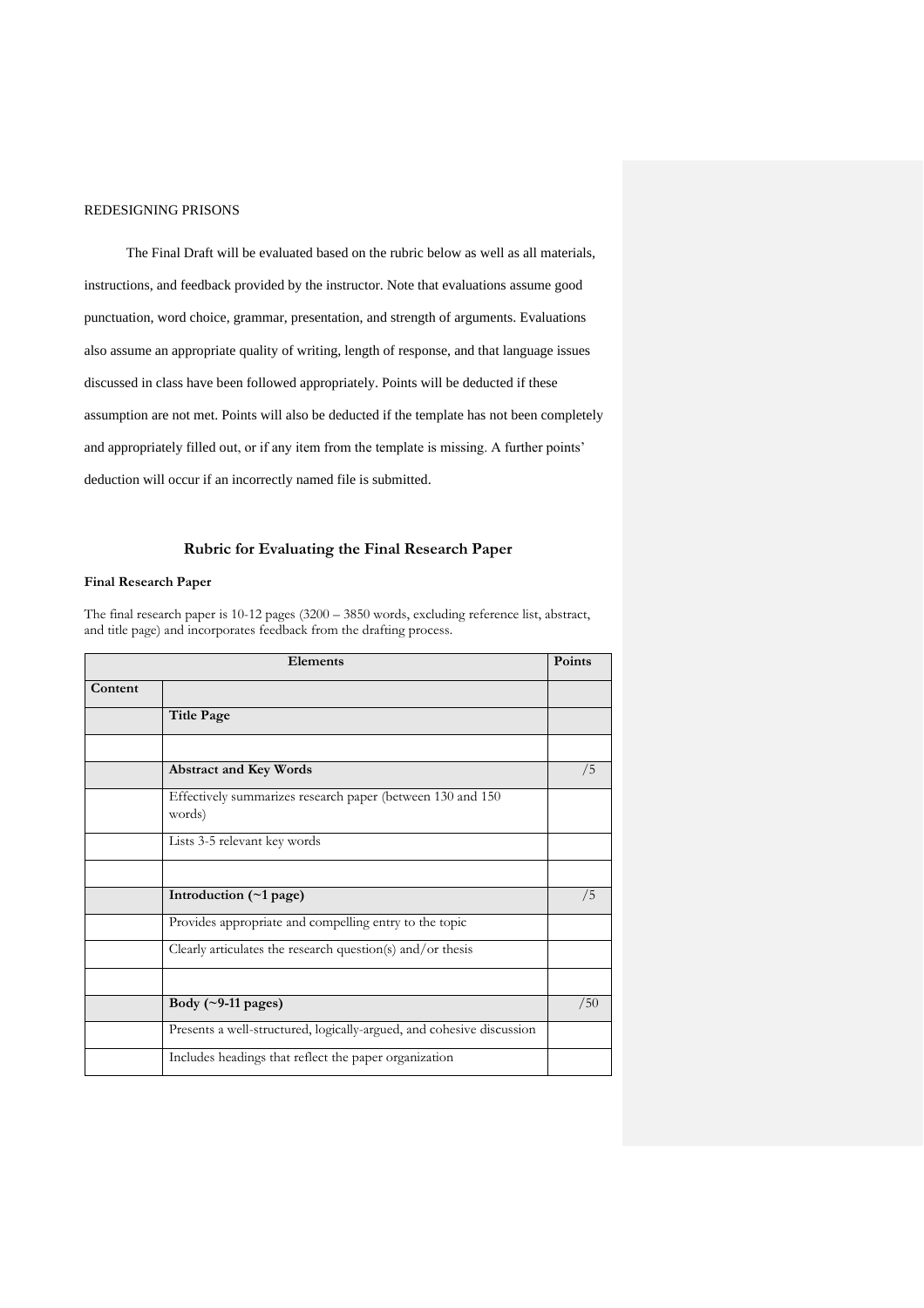The Final Draft will be evaluated based on the rubric below as well as all materials, instructions, and feedback provided by the instructor. Note that evaluations assume good punctuation, word choice, grammar, presentation, and strength of arguments. Evaluations also assume an appropriate quality of writing, length of response, and that language issues discussed in class have been followed appropriately. Points will be deducted if these assumption are not met. Points will also be deducted if the template has not been completely and appropriately filled out, or if any item from the template is missing. A further points' deduction will occur if an incorrectly named file is submitted.

# **Rubric for Evaluating the Final Research Paper**

## **Final Research Paper**

The final research paper is 10-12 pages (3200 – 3850 words, excluding reference list, abstract, and title page) and incorporates feedback from the drafting process.

| Elements |                                                                       | <b>Points</b> |
|----------|-----------------------------------------------------------------------|---------------|
| Content  |                                                                       |               |
|          | <b>Title Page</b>                                                     |               |
|          |                                                                       |               |
|          | <b>Abstract and Key Words</b>                                         | /5            |
|          | Effectively summarizes research paper (between 130 and 150<br>words)  |               |
|          | Lists 3-5 relevant key words                                          |               |
|          |                                                                       |               |
|          | Introduction $(\sim 1$ page)                                          | /5            |
|          | Provides appropriate and compelling entry to the topic                |               |
|          | Clearly articulates the research question(s) and/or thesis            |               |
|          |                                                                       |               |
|          | Body $(\sim)$ -11 pages)                                              | /50           |
|          | Presents a well-structured, logically-argued, and cohesive discussion |               |
|          | Includes headings that reflect the paper organization                 |               |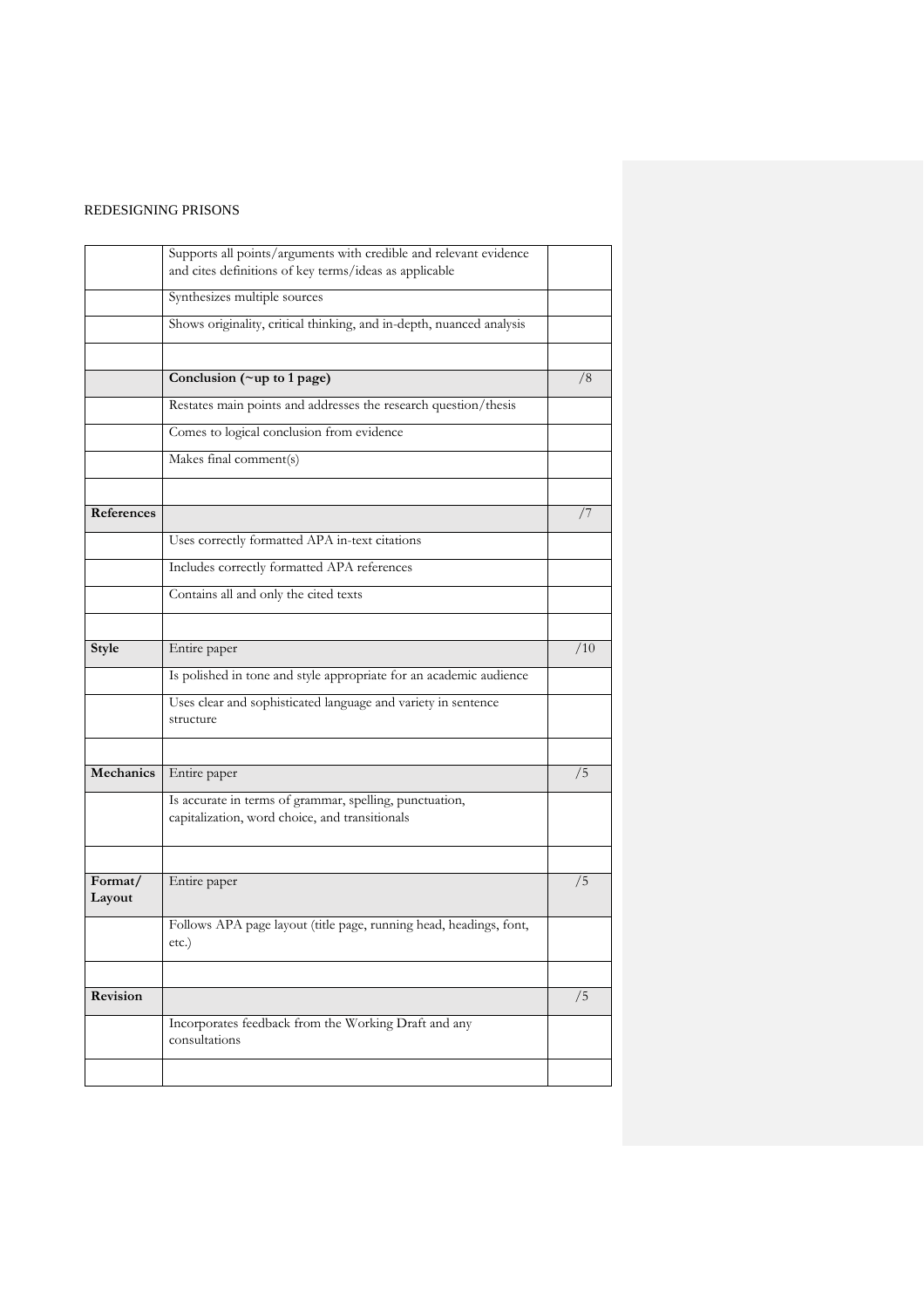|            | Supports all points/arguments with credible and relevant evidence    |     |
|------------|----------------------------------------------------------------------|-----|
|            | and cites definitions of key terms/ideas as applicable               |     |
|            |                                                                      |     |
|            | Synthesizes multiple sources                                         |     |
|            | Shows originality, critical thinking, and in-depth, nuanced analysis |     |
|            |                                                                      |     |
|            |                                                                      |     |
|            | Conclusion (~up to 1 page)                                           | /8  |
|            | Restates main points and addresses the research question/thesis      |     |
|            | Comes to logical conclusion from evidence                            |     |
|            | Makes final comment(s)                                               |     |
|            |                                                                      |     |
| References |                                                                      | 77  |
|            | Uses correctly formatted APA in-text citations                       |     |
|            | Includes correctly formatted APA references                          |     |
|            | Contains all and only the cited texts                                |     |
|            |                                                                      |     |
|            |                                                                      |     |
| Style      | Entire paper                                                         | /10 |
|            | Is polished in tone and style appropriate for an academic audience   |     |
|            | Uses clear and sophisticated language and variety in sentence        |     |
|            | structure                                                            |     |
|            |                                                                      |     |
| Mechanics  | Entire paper                                                         | /5  |
|            | Is accurate in terms of grammar, spelling, punctuation,              |     |
|            | capitalization, word choice, and transitionals                       |     |
|            |                                                                      |     |
| Format/    |                                                                      | /5  |
| Layout     | Entire paper                                                         |     |
|            | Follows APA page layout (title page, running head, headings, font,   |     |
|            | etc.)                                                                |     |
|            |                                                                      |     |
| Revision   |                                                                      | /5  |
|            | Incorporates feedback from the Working Draft and any                 |     |
|            | consultations                                                        |     |
|            |                                                                      |     |
|            |                                                                      |     |